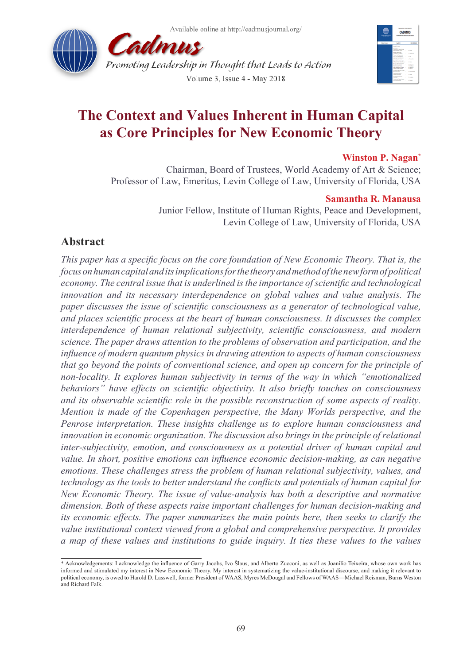



# **The Context and Values Inherent in Human Capital as Core Principles for New Economic Theory**

#### **Winston P. Nagan\***

Chairman, Board of Trustees, World Academy of Art & Science; Professor of Law, Emeritus, Levin College of Law, University of Florida, USA

#### **Samantha R. Manausa**

Junior Fellow, Institute of Human Rights, Peace and Development, Levin College of Law, University of Florida, USA

# **Abstract**

*This paper has a specific focus on the core foundation of New Economic Theory. That is, the focus on human capital and its implications for the theory and method of the new form of political economy. The central issue that is underlined is the importance of scientific and technological innovation and its necessary interdependence on global values and value analysis. The paper discusses the issue of scientific consciousness as a generator of technological value, and places scientific process at the heart of human consciousness. It discusses the complex interdependence of human relational subjectivity, scientific consciousness, and modern science. The paper draws attention to the problems of observation and participation, and the influence of modern quantum physics in drawing attention to aspects of human consciousness that go beyond the points of conventional science, and open up concern for the principle of non-locality. It explores human subjectivity in terms of the way in which "emotionalized behaviors" have effects on scientific objectivity. It also briefly touches on consciousness and its observable scientific role in the possible reconstruction of some aspects of reality. Mention is made of the Copenhagen perspective, the Many Worlds perspective, and the Penrose interpretation. These insights challenge us to explore human consciousness and innovation in economic organization. The discussion also brings in the principle of relational inter-subjectivity, emotion, and consciousness as a potential driver of human capital and value. In short, positive emotions can influence economic decision-making, as can negative emotions. These challenges stress the problem of human relational subjectivity, values, and technology as the tools to better understand the conflicts and potentials of human capital for New Economic Theory. The issue of value-analysis has both a descriptive and normative dimension. Both of these aspects raise important challenges for human decision-making and its economic effects. The paper summarizes the main points here, then seeks to clarify the value institutional context viewed from a global and comprehensive perspective. It provides a map of these values and institutions to guide inquiry. It ties these values to the values* 

<sup>\*</sup> Acknowledgements: I acknowledge the influence of Garry Jacobs, Ivo Šlaus, and Alberto Zucconi, as well as Joanilio Teixeira, whose own work has informed and stimulated my interest in New Economic Theory. My interest in systematizing the value-institutional discourse, and making it relevant to political economy, is owed to Harold D. Lasswell, former President of WAAS, Myres McDougal and Fellows of WAAS—Michael Reisman, Burns Weston and Richard Falk.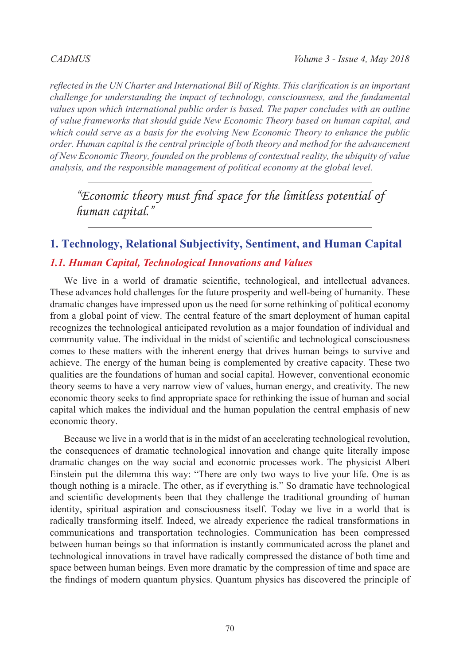*reflected in the UN Charter and International Bill of Rights. This clarification is an important challenge for understanding the impact of technology, consciousness, and the fundamental values upon which international public order is based. The paper concludes with an outline of value frameworks that should guide New Economic Theory based on human capital, and which could serve as a basis for the evolving New Economic Theory to enhance the public order. Human capital is the central principle of both theory and method for the advancement of New Economic Theory, founded on the problems of contextual reality, the ubiquity of value analysis, and the responsible management of political economy at the global level.*

*"Economic theory must find space for the limitless potential of human capital."*

# **1. Technology, Relational Subjectivity, Sentiment, and Human Capital**

### *1.1. Human Capital, Technological Innovations and Values*

We live in a world of dramatic scientific, technological, and intellectual advances. These advances hold challenges for the future prosperity and well-being of humanity. These dramatic changes have impressed upon us the need for some rethinking of political economy from a global point of view. The central feature of the smart deployment of human capital recognizes the technological anticipated revolution as a major foundation of individual and community value. The individual in the midst of scientific and technological consciousness comes to these matters with the inherent energy that drives human beings to survive and achieve. The energy of the human being is complemented by creative capacity. These two qualities are the foundations of human and social capital. However, conventional economic theory seems to have a very narrow view of values, human energy, and creativity. The new economic theory seeks to find appropriate space for rethinking the issue of human and social capital which makes the individual and the human population the central emphasis of new economic theory.

Because we live in a world that is in the midst of an accelerating technological revolution, the consequences of dramatic technological innovation and change quite literally impose dramatic changes on the way social and economic processes work. The physicist Albert Einstein put the dilemma this way: "There are only two ways to live your life. One is as though nothing is a miracle. The other, as if everything is." So dramatic have technological and scientific developments been that they challenge the traditional grounding of human identity, spiritual aspiration and consciousness itself. Today we live in a world that is radically transforming itself. Indeed, we already experience the radical transformations in communications and transportation technologies. Communication has been compressed between human beings so that information is instantly communicated across the planet and technological innovations in travel have radically compressed the distance of both time and space between human beings. Even more dramatic by the compression of time and space are the findings of modern quantum physics. Quantum physics has discovered the principle of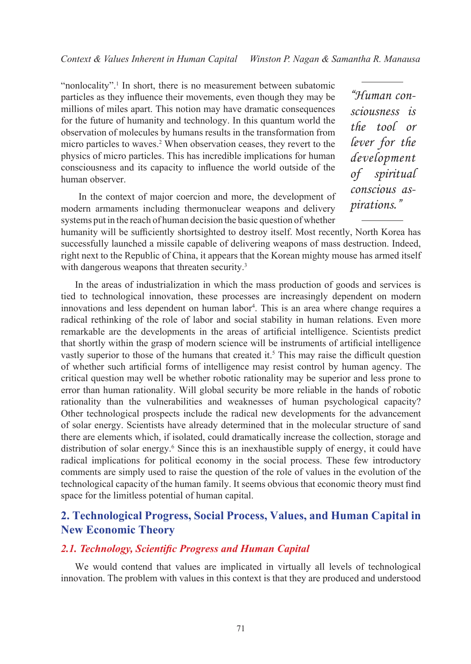"nonlocality".<sup>1</sup> In short, there is no measurement between subatomic particles as they influence their movements, even though they may be millions of miles apart. This notion may have dramatic consequences for the future of humanity and technology. In this quantum world the observation of molecules by humans results in the transformation from micro particles to waves.<sup>2</sup> When observation ceases, they revert to the physics of micro particles. This has incredible implications for human consciousness and its capacity to influence the world outside of the human observer.

 In the context of major coercion and more, the development of modern armaments including thermonuclear weapons and delivery systems put in the reach of human decision the basic question of whether

*"Human consciousness is the tool or lever for the development of spiritual conscious aspirations."*

humanity will be sufficiently shortsighted to destroy itself. Most recently, North Korea has successfully launched a missile capable of delivering weapons of mass destruction. Indeed, right next to the Republic of China, it appears that the Korean mighty mouse has armed itself with dangerous weapons that threaten security.<sup>3</sup>

In the areas of industrialization in which the mass production of goods and services is tied to technological innovation, these processes are increasingly dependent on modern innovations and less dependent on human labor<sup>4</sup> . This is an area where change requires a radical rethinking of the role of labor and social stability in human relations. Even more remarkable are the developments in the areas of artificial intelligence. Scientists predict that shortly within the grasp of modern science will be instruments of artificial intelligence vastly superior to those of the humans that created it.<sup>5</sup> This may raise the difficult question of whether such artificial forms of intelligence may resist control by human agency. The critical question may well be whether robotic rationality may be superior and less prone to error than human rationality. Will global security be more reliable in the hands of robotic rationality than the vulnerabilities and weaknesses of human psychological capacity? Other technological prospects include the radical new developments for the advancement of solar energy. Scientists have already determined that in the molecular structure of sand there are elements which, if isolated, could dramatically increase the collection, storage and distribution of solar energy.<sup>6</sup> Since this is an inexhaustible supply of energy, it could have radical implications for political economy in the social process. These few introductory comments are simply used to raise the question of the role of values in the evolution of the technological capacity of the human family. It seems obvious that economic theory must find space for the limitless potential of human capital.

# **2. Technological Progress, Social Process, Values, and Human Capital in New Economic Theory**

#### *2.1. Technology, Scientific Progress and Human Capital*

We would contend that values are implicated in virtually all levels of technological innovation. The problem with values in this context is that they are produced and understood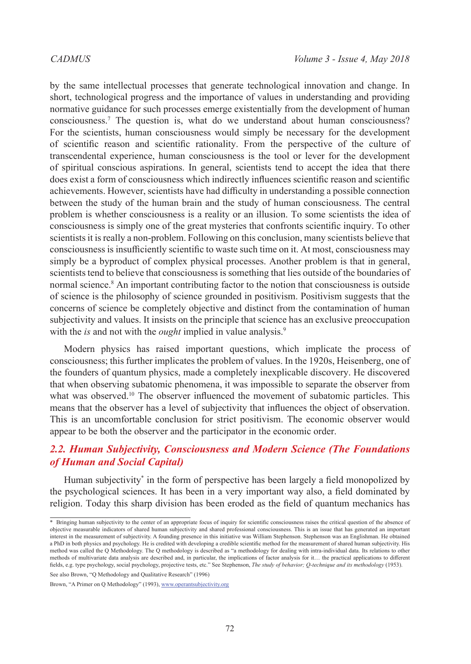by the same intellectual processes that generate technological innovation and change. In short, technological progress and the importance of values in understanding and providing normative guidance for such processes emerge existentially from the development of human consciousness.7 The question is, what do we understand about human consciousness? For the scientists, human consciousness would simply be necessary for the development of scientific reason and scientific rationality. From the perspective of the culture of transcendental experience, human consciousness is the tool or lever for the development of spiritual conscious aspirations. In general, scientists tend to accept the idea that there does exist a form of consciousness which indirectly influences scientific reason and scientific achievements. However, scientists have had difficulty in understanding a possible connection between the study of the human brain and the study of human consciousness. The central problem is whether consciousness is a reality or an illusion. To some scientists the idea of consciousness is simply one of the great mysteries that confronts scientific inquiry. To other scientists it is really a non-problem. Following on this conclusion, many scientists believe that consciousness is insufficiently scientific to waste such time on it. At most, consciousness may simply be a byproduct of complex physical processes. Another problem is that in general, scientists tend to believe that consciousness is something that lies outside of the boundaries of normal science.<sup>8</sup> An important contributing factor to the notion that consciousness is outside of science is the philosophy of science grounded in positivism. Positivism suggests that the concerns of science be completely objective and distinct from the contamination of human subjectivity and values. It insists on the principle that science has an exclusive preoccupation with the *is* and not with the *ought* implied in value analysis.<sup>9</sup>

Modern physics has raised important questions, which implicate the process of consciousness; this further implicates the problem of values. In the 1920s, Heisenberg, one of the founders of quantum physics, made a completely inexplicable discovery. He discovered that when observing subatomic phenomena, it was impossible to separate the observer from what was observed.<sup>10</sup> The observer influenced the movement of subatomic particles. This means that the observer has a level of subjectivity that influences the object of observation. This is an uncomfortable conclusion for strict positivism. The economic observer would appear to be both the observer and the participator in the economic order.

# *2.2. Human Subjectivity, Consciousness and Modern Science (The Foundations of Human and Social Capital)*

Human subjectivity\* in the form of perspective has been largely a field monopolized by the psychological sciences. It has been in a very important way also, a field dominated by religion. Today this sharp division has been eroded as the field of quantum mechanics has

See also Brown, "Q Methodology and Qualitative Research" (1996)

<sup>\*</sup> Bringing human subjectivity to the center of an appropriate focus of inquiry for scientific consciousness raises the critical question of the absence of objective measurable indicators of shared human subjectivity and shared professional consciousness. This is an issue that has generated an important interest in the measurement of subjectivity. A founding presence in this initiative was William Stephenson. Stephenson was an Englishman. He obtained a PhD in both physics and psychology. He is credited with developing a credible scientific method for the measurement of shared human subjectivity. His method was called the Q Methodology. The Q methodology is described as "a methodology for dealing with intra-individual data. Its relations to other methods of multivariate data analysis are described and, in particular, the implications of factor analysis for it… the practical applications to different fields, e.g. type psychology, social psychology, projective tests, etc." See Stephenson, *The study of behavior; Q-technique and its methodology* (1953).

Brown, "A Primer on Q Methodology" (1993),<www.operantsubjectivity.org>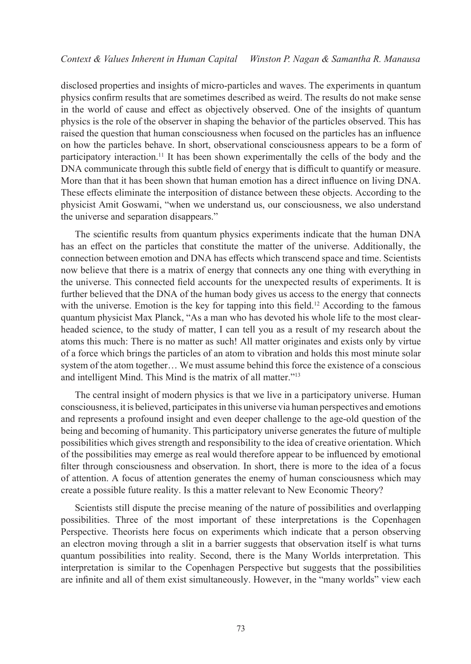disclosed properties and insights of micro-particles and waves. The experiments in quantum physics confirm results that are sometimes described as weird. The results do not make sense in the world of cause and effect as objectively observed. One of the insights of quantum physics is the role of the observer in shaping the behavior of the particles observed. This has raised the question that human consciousness when focused on the particles has an influence on how the particles behave. In short, observational consciousness appears to be a form of participatory interaction.11 It has been shown experimentally the cells of the body and the DNA communicate through this subtle field of energy that is difficult to quantify or measure. More than that it has been shown that human emotion has a direct influence on living DNA. These effects eliminate the interposition of distance between these objects. According to the physicist Amit Goswami, "when we understand us, our consciousness, we also understand the universe and separation disappears."

The scientific results from quantum physics experiments indicate that the human DNA has an effect on the particles that constitute the matter of the universe. Additionally, the connection between emotion and DNA has effects which transcend space and time. Scientists now believe that there is a matrix of energy that connects any one thing with everything in the universe. This connected field accounts for the unexpected results of experiments. It is further believed that the DNA of the human body gives us access to the energy that connects with the universe. Emotion is the key for tapping into this field.<sup>12</sup> According to the famous quantum physicist Max Planck, "As a man who has devoted his whole life to the most clearheaded science, to the study of matter, I can tell you as a result of my research about the atoms this much: There is no matter as such! All matter originates and exists only by virtue of a force which brings the particles of an atom to vibration and holds this most minute solar system of the atom together… We must assume behind this force the existence of a conscious and intelligent Mind. This Mind is the matrix of all matter."<sup>13</sup>

The central insight of modern physics is that we live in a participatory universe. Human consciousness, it is believed, participates in this universe via human perspectives and emotions and represents a profound insight and even deeper challenge to the age-old question of the being and becoming of humanity. This participatory universe generates the future of multiple possibilities which gives strength and responsibility to the idea of creative orientation. Which of the possibilities may emerge as real would therefore appear to be influenced by emotional filter through consciousness and observation. In short, there is more to the idea of a focus of attention. A focus of attention generates the enemy of human consciousness which may create a possible future reality. Is this a matter relevant to New Economic Theory?

Scientists still dispute the precise meaning of the nature of possibilities and overlapping possibilities. Three of the most important of these interpretations is the Copenhagen Perspective. Theorists here focus on experiments which indicate that a person observing an electron moving through a slit in a barrier suggests that observation itself is what turns quantum possibilities into reality. Second, there is the Many Worlds interpretation. This interpretation is similar to the Copenhagen Perspective but suggests that the possibilities are infinite and all of them exist simultaneously. However, in the "many worlds" view each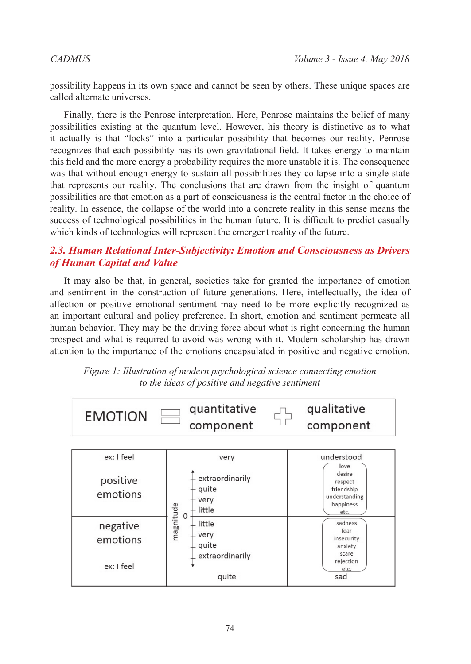possibility happens in its own space and cannot be seen by others. These unique spaces are called alternate universes.

Finally, there is the Penrose interpretation. Here, Penrose maintains the belief of many possibilities existing at the quantum level. However, his theory is distinctive as to what it actually is that "locks" into a particular possibility that becomes our reality. Penrose recognizes that each possibility has its own gravitational field. It takes energy to maintain this field and the more energy a probability requires the more unstable it is. The consequence was that without enough energy to sustain all possibilities they collapse into a single state that represents our reality. The conclusions that are drawn from the insight of quantum possibilities are that emotion as a part of consciousness is the central factor in the choice of reality. In essence, the collapse of the world into a concrete reality in this sense means the success of technological possibilities in the human future. It is difficult to predict casually which kinds of technologies will represent the emergent reality of the future.

# *2.3. Human Relational Inter-Subjectivity: Emotion and Consciousness as Drivers of Human Capital and Value*

It may also be that, in general, societies take for granted the importance of emotion and sentiment in the construction of future generations. Here, intellectually, the idea of affection or positive emotional sentiment may need to be more explicitly recognized as an important cultural and policy preference. In short, emotion and sentiment permeate all human behavior. They may be the driving force about what is right concerning the human prospect and what is required to avoid was wrong with it. Modern scholarship has drawn attention to the importance of the emotions encapsulated in positive and negative emotion.



*Figure 1: Illustration of modern psychological science connecting emotion to the ideas of positive and negative sentiment*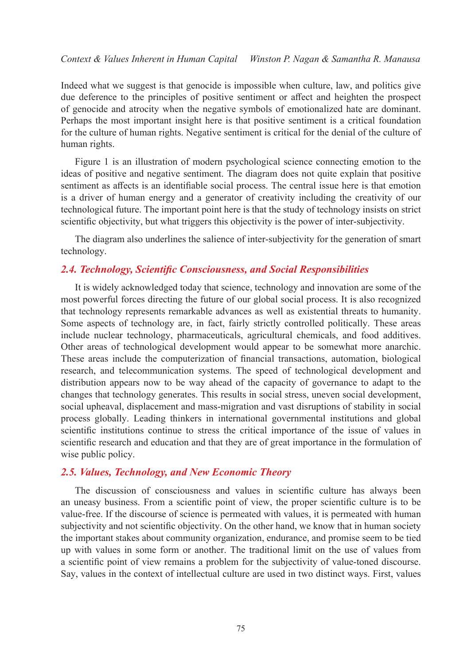Indeed what we suggest is that genocide is impossible when culture, law, and politics give due deference to the principles of positive sentiment or affect and heighten the prospect of genocide and atrocity when the negative symbols of emotionalized hate are dominant. Perhaps the most important insight here is that positive sentiment is a critical foundation for the culture of human rights. Negative sentiment is critical for the denial of the culture of human rights.

Figure 1 is an illustration of modern psychological science connecting emotion to the ideas of positive and negative sentiment. The diagram does not quite explain that positive sentiment as affects is an identifiable social process. The central issue here is that emotion is a driver of human energy and a generator of creativity including the creativity of our technological future. The important point here is that the study of technology insists on strict scientific objectivity, but what triggers this objectivity is the power of inter-subjectivity.

The diagram also underlines the salience of inter-subjectivity for the generation of smart technology.

#### *2.4. Technology, Scientific Consciousness, and Social Responsibilities*

It is widely acknowledged today that science, technology and innovation are some of the most powerful forces directing the future of our global social process. It is also recognized that technology represents remarkable advances as well as existential threats to humanity. Some aspects of technology are, in fact, fairly strictly controlled politically. These areas include nuclear technology, pharmaceuticals, agricultural chemicals, and food additives. Other areas of technological development would appear to be somewhat more anarchic. These areas include the computerization of financial transactions, automation, biological research, and telecommunication systems. The speed of technological development and distribution appears now to be way ahead of the capacity of governance to adapt to the changes that technology generates. This results in social stress, uneven social development, social upheaval, displacement and mass-migration and vast disruptions of stability in social process globally. Leading thinkers in international governmental institutions and global scientific institutions continue to stress the critical importance of the issue of values in scientific research and education and that they are of great importance in the formulation of wise public policy.

### *2.5. Values, Technology, and New Economic Theory*

The discussion of consciousness and values in scientific culture has always been an uneasy business. From a scientific point of view, the proper scientific culture is to be value-free. If the discourse of science is permeated with values, it is permeated with human subjectivity and not scientific objectivity. On the other hand, we know that in human society the important stakes about community organization, endurance, and promise seem to be tied up with values in some form or another. The traditional limit on the use of values from a scientific point of view remains a problem for the subjectivity of value-toned discourse. Say, values in the context of intellectual culture are used in two distinct ways. First, values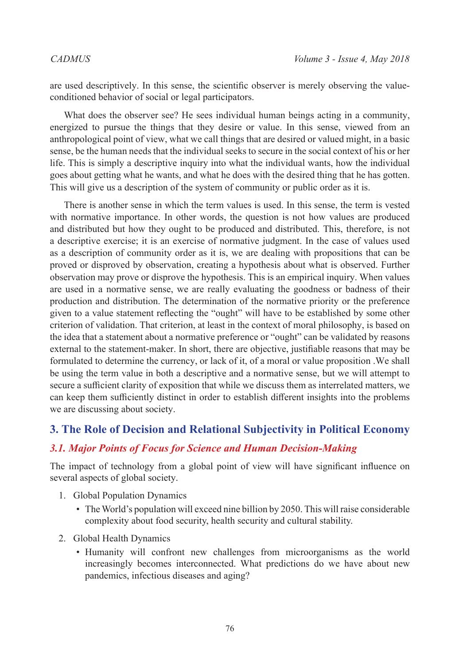are used descriptively. In this sense, the scientific observer is merely observing the valueconditioned behavior of social or legal participators.

What does the observer see? He sees individual human beings acting in a community, energized to pursue the things that they desire or value. In this sense, viewed from an anthropological point of view, what we call things that are desired or valued might, in a basic sense, be the human needs that the individual seeks to secure in the social context of his or her life. This is simply a descriptive inquiry into what the individual wants, how the individual goes about getting what he wants, and what he does with the desired thing that he has gotten. This will give us a description of the system of community or public order as it is.

There is another sense in which the term values is used. In this sense, the term is vested with normative importance. In other words, the question is not how values are produced and distributed but how they ought to be produced and distributed. This, therefore, is not a descriptive exercise; it is an exercise of normative judgment. In the case of values used as a description of community order as it is, we are dealing with propositions that can be proved or disproved by observation, creating a hypothesis about what is observed. Further observation may prove or disprove the hypothesis. This is an empirical inquiry. When values are used in a normative sense, we are really evaluating the goodness or badness of their production and distribution. The determination of the normative priority or the preference given to a value statement reflecting the "ought" will have to be established by some other criterion of validation. That criterion, at least in the context of moral philosophy, is based on the idea that a statement about a normative preference or "ought" can be validated by reasons external to the statement-maker. In short, there are objective, justifiable reasons that may be formulated to determine the currency, or lack of it, of a moral or value proposition .We shall be using the term value in both a descriptive and a normative sense, but we will attempt to secure a sufficient clarity of exposition that while we discuss them as interrelated matters, we can keep them sufficiently distinct in order to establish different insights into the problems we are discussing about society.

# **3. The Role of Decision and Relational Subjectivity in Political Economy**

### *3.1. Major Points of Focus for Science and Human Decision-Making*

The impact of technology from a global point of view will have significant influence on several aspects of global society.

- 1. Global Population Dynamics
	- The World's population will exceed nine billion by 2050. This will raise considerable complexity about food security, health security and cultural stability.
- 2. Global Health Dynamics
	- Humanity will confront new challenges from microorganisms as the world increasingly becomes interconnected. What predictions do we have about new pandemics, infectious diseases and aging?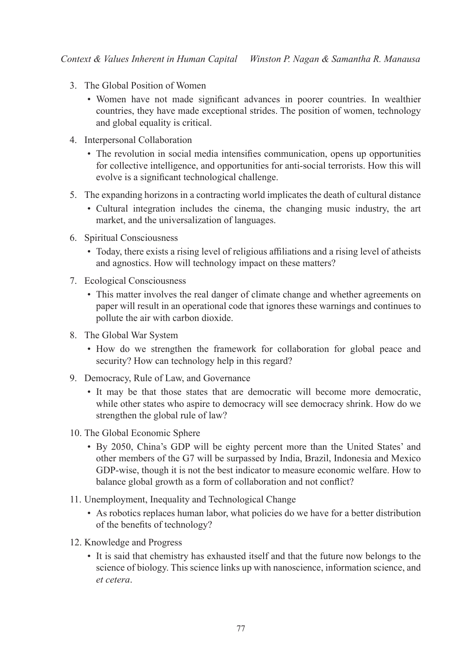- 3. The Global Position of Women
	- Women have not made significant advances in poorer countries. In wealthier countries, they have made exceptional strides. The position of women, technology and global equality is critical.
- 4. Interpersonal Collaboration
	- The revolution in social media intensifies communication, opens up opportunities for collective intelligence, and opportunities for anti-social terrorists. How this will evolve is a significant technological challenge.
- 5. The expanding horizons in a contracting world implicates the death of cultural distance
	- Cultural integration includes the cinema, the changing music industry, the art market, and the universalization of languages.
- 6. Spiritual Consciousness
	- Today, there exists a rising level of religious affiliations and a rising level of atheists and agnostics. How will technology impact on these matters?
- 7. Ecological Consciousness
	- This matter involves the real danger of climate change and whether agreements on paper will result in an operational code that ignores these warnings and continues to pollute the air with carbon dioxide.
- 8. The Global War System
	- How do we strengthen the framework for collaboration for global peace and security? How can technology help in this regard?
- 9. Democracy, Rule of Law, and Governance
	- It may be that those states that are democratic will become more democratic, while other states who aspire to democracy will see democracy shrink. How do we strengthen the global rule of law?
- 10. The Global Economic Sphere
	- By 2050, China's GDP will be eighty percent more than the United States' and other members of the G7 will be surpassed by India, Brazil, Indonesia and Mexico GDP-wise, though it is not the best indicator to measure economic welfare. How to balance global growth as a form of collaboration and not conflict?
- 11. Unemployment, Inequality and Technological Change
	- As robotics replaces human labor, what policies do we have for a better distribution of the benefits of technology?
- 12. Knowledge and Progress
	- It is said that chemistry has exhausted itself and that the future now belongs to the science of biology. This science links up with nanoscience, information science, and *et cetera*.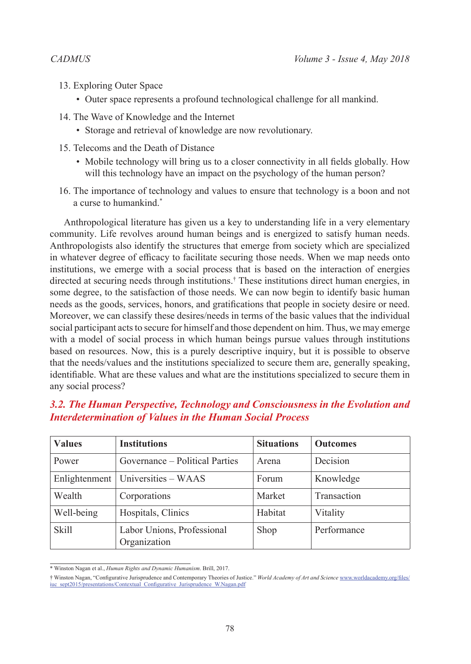- 13. Exploring Outer Space
	- Outer space represents a profound technological challenge for all mankind.
- 14. The Wave of Knowledge and the Internet
	- Storage and retrieval of knowledge are now revolutionary.
- 15. Telecoms and the Death of Distance
	- Mobile technology will bring us to a closer connectivity in all fields globally. How will this technology have an impact on the psychology of the human person?
- 16. The importance of technology and values to ensure that technology is a boon and not a curse to humankind.\*

Anthropological literature has given us a key to understanding life in a very elementary community. Life revolves around human beings and is energized to satisfy human needs. Anthropologists also identify the structures that emerge from society which are specialized in whatever degree of efficacy to facilitate securing those needs. When we map needs onto institutions, we emerge with a social process that is based on the interaction of energies directed at securing needs through institutions.† These institutions direct human energies, in some degree, to the satisfaction of those needs. We can now begin to identify basic human needs as the goods, services, honors, and gratifications that people in society desire or need. Moreover, we can classify these desires/needs in terms of the basic values that the individual social participant acts to secure for himself and those dependent on him. Thus, we may emerge with a model of social process in which human beings pursue values through institutions based on resources. Now, this is a purely descriptive inquiry, but it is possible to observe that the needs/values and the institutions specialized to secure them are, generally speaking, identifiable. What are these values and what are the institutions specialized to secure them in any social process?

# *3.2. The Human Perspective, Technology and Consciousness in the Evolution and Interdetermination of Values in the Human Social Process*

| <b>Values</b> | <b>Institutions</b>                        | <b>Situations</b> | <b>Outcomes</b> |
|---------------|--------------------------------------------|-------------------|-----------------|
| Power         | Governance – Political Parties             | Arena             | Decision        |
|               | Enlightenment   Universities - WAAS        | Forum             | Knowledge       |
| Wealth        | Corporations                               | Market            | Transaction     |
| Well-being    | Hospitals, Clinics                         | Habitat           | Vitality        |
| <b>Skill</b>  | Labor Unions, Professional<br>Organization | Shop              | Performance     |

<sup>\*</sup> Winston Nagan et al., *Human Rights and Dynamic Humanism*. Brill, 2017.

<sup>†</sup> Winston Nagan, "Configurative Jurisprudence and Contemporary Theories of Justice." *World Academy of Art and Science* [www.worldacademy.org/files/](www.worldacademy.org/files/iuc_sept2015/presentations/Contextual_Configurative_Jurisprudence_W.Nagan.pdf) [iuc\\_sept2015/presentations/Contextual\\_Configurative\\_Jurisprudence\\_W.Nagan.pdf](www.worldacademy.org/files/iuc_sept2015/presentations/Contextual_Configurative_Jurisprudence_W.Nagan.pdf)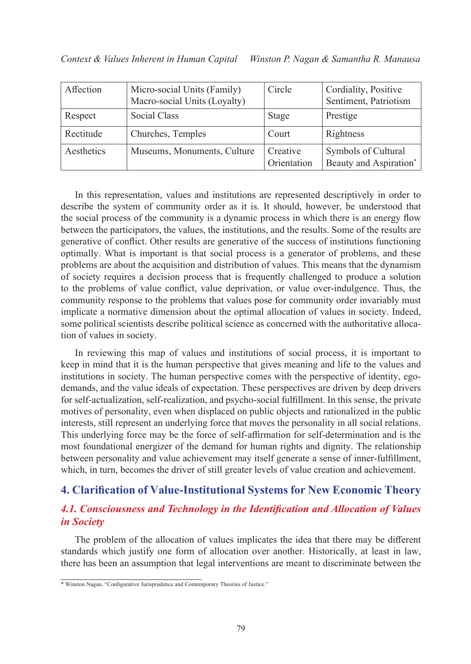| Affection  | Micro-social Units (Family)<br>Macro-social Units (Loyalty) | Circle                  | Cordiality, Positive<br>Sentiment, Patriotism |
|------------|-------------------------------------------------------------|-------------------------|-----------------------------------------------|
| Respect    | Social Class                                                | Stage                   | Prestige                                      |
| Rectitude  | Churches, Temples                                           | Court                   | Rightness                                     |
| Aesthetics | Museums, Monuments, Culture                                 | Creative<br>Orientation | Symbols of Cultural<br>Beauty and Aspiration* |

In this representation, values and institutions are represented descriptively in order to describe the system of community order as it is. It should, however, be understood that the social process of the community is a dynamic process in which there is an energy flow between the participators, the values, the institutions, and the results. Some of the results are generative of conflict. Other results are generative of the success of institutions functioning optimally. What is important is that social process is a generator of problems, and these problems are about the acquisition and distribution of values. This means that the dynamism of society requires a decision process that is frequently challenged to produce a solution to the problems of value conflict, value deprivation, or value over-indulgence. Thus, the community response to the problems that values pose for community order invariably must implicate a normative dimension about the optimal allocation of values in society. Indeed, some political scientists describe political science as concerned with the authoritative allocation of values in society.

In reviewing this map of values and institutions of social process, it is important to keep in mind that it is the human perspective that gives meaning and life to the values and institutions in society. The human perspective comes with the perspective of identity, egodemands, and the value ideals of expectation. These perspectives are driven by deep drivers for self-actualization, self-realization, and psycho-social fulfillment. In this sense, the private motives of personality, even when displaced on public objects and rationalized in the public interests, still represent an underlying force that moves the personality in all social relations. This underlying force may be the force of self-affirmation for self-determination and is the most foundational energizer of the demand for human rights and dignity. The relationship between personality and value achievement may itself generate a sense of inner-fulfillment, which, in turn, becomes the driver of still greater levels of value creation and achievement.

# **4. Clarification of Value-Institutional Systems for New Economic Theory**

# *4.1. Consciousness and Technology in the Identification and Allocation of Values in Society*

The problem of the allocation of values implicates the idea that there may be different standards which justify one form of allocation over another. Historically, at least in law, there has been an assumption that legal interventions are meant to discriminate between the

<sup>\*</sup> Winston Nagan, "Configurative Jurisprudence and Contemporary Theories of Justice."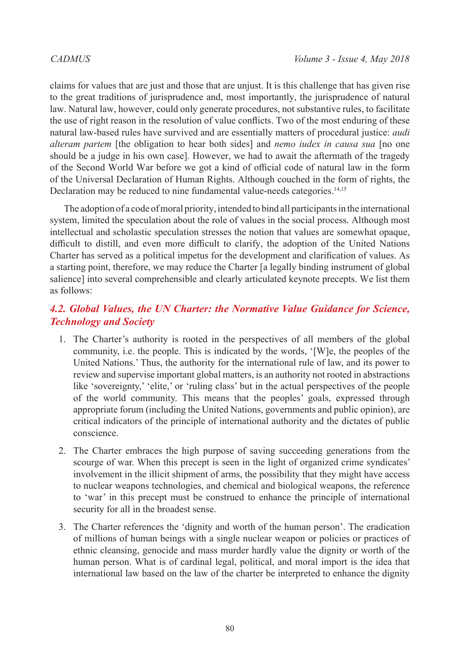claims for values that are just and those that are unjust. It is this challenge that has given rise to the great traditions of jurisprudence and, most importantly, the jurisprudence of natural law. Natural law, however, could only generate procedures, not substantive rules, to facilitate the use of right reason in the resolution of value conflicts. Two of the most enduring of these natural law-based rules have survived and are essentially matters of procedural justice: *audi alteram partem* [the obligation to hear both sides] and *nemo iudex in causa sua* [no one should be a judge in his own case]. However, we had to await the aftermath of the tragedy of the Second World War before we got a kind of official code of natural law in the form of the Universal Declaration of Human Rights. Although couched in the form of rights, the Declaration may be reduced to nine fundamental value-needs categories.<sup>14,15</sup>

The adoption of a code of moral priority, intended to bind all participants in the international system, limited the speculation about the role of values in the social process. Although most intellectual and scholastic speculation stresses the notion that values are somewhat opaque, difficult to distill, and even more difficult to clarify, the adoption of the United Nations Charter has served as a political impetus for the development and clarification of values. As a starting point, therefore, we may reduce the Charter [a legally binding instrument of global salience] into several comprehensible and clearly articulated keynote precepts. We list them as follows:

# *4.2. Global Values, the UN Charter: the Normative Value Guidance for Science, Technology and Society*

- 1. The Charter's authority is rooted in the perspectives of all members of the global community, i.e. the people. This is indicated by the words, '[W]e, the peoples of the United Nations.' Thus, the authority for the international rule of law, and its power to review and supervise important global matters, is an authority not rooted in abstractions like 'sovereignty,' 'elite,' or 'ruling class' but in the actual perspectives of the people of the world community. This means that the peoples' goals, expressed through appropriate forum (including the United Nations, governments and public opinion), are critical indicators of the principle of international authority and the dictates of public conscience.
- 2. The Charter embraces the high purpose of saving succeeding generations from the scourge of war. When this precept is seen in the light of organized crime syndicates' involvement in the illicit shipment of arms, the possibility that they might have access to nuclear weapons technologies, and chemical and biological weapons, the reference to 'war' in this precept must be construed to enhance the principle of international security for all in the broadest sense.
- 3. The Charter references the 'dignity and worth of the human person'. The eradication of millions of human beings with a single nuclear weapon or policies or practices of ethnic cleansing, genocide and mass murder hardly value the dignity or worth of the human person. What is of cardinal legal, political, and moral import is the idea that international law based on the law of the charter be interpreted to enhance the dignity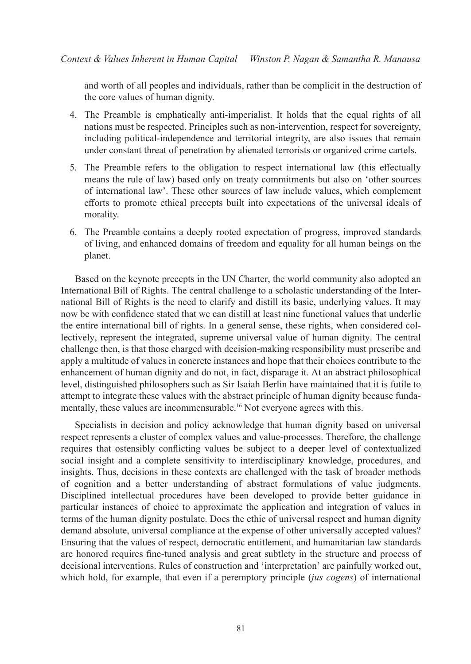and worth of all peoples and individuals, rather than be complicit in the destruction of the core values of human dignity.

- 4. The Preamble is emphatically anti-imperialist. It holds that the equal rights of all nations must be respected. Principles such as non-intervention, respect for sovereignty, including political-independence and territorial integrity, are also issues that remain under constant threat of penetration by alienated terrorists or organized crime cartels.
- 5. The Preamble refers to the obligation to respect international law (this effectually means the rule of law) based only on treaty commitments but also on 'other sources of international law'. These other sources of law include values, which complement efforts to promote ethical precepts built into expectations of the universal ideals of morality.
- 6. The Preamble contains a deeply rooted expectation of progress, improved standards of living, and enhanced domains of freedom and equality for all human beings on the planet.

Based on the keynote precepts in the UN Charter, the world community also adopted an International Bill of Rights. The central challenge to a scholastic understanding of the International Bill of Rights is the need to clarify and distill its basic, underlying values. It may now be with confidence stated that we can distill at least nine functional values that underlie the entire international bill of rights. In a general sense, these rights, when considered collectively, represent the integrated, supreme universal value of human dignity. The central challenge then, is that those charged with decision-making responsibility must prescribe and apply a multitude of values in concrete instances and hope that their choices contribute to the enhancement of human dignity and do not, in fact, disparage it. At an abstract philosophical level, distinguished philosophers such as Sir Isaiah Berlin have maintained that it is futile to attempt to integrate these values with the abstract principle of human dignity because fundamentally, these values are incommensurable.<sup>16</sup> Not everyone agrees with this.

Specialists in decision and policy acknowledge that human dignity based on universal respect represents a cluster of complex values and value-processes. Therefore, the challenge requires that ostensibly conflicting values be subject to a deeper level of contextualized social insight and a complete sensitivity to interdisciplinary knowledge, procedures, and insights. Thus, decisions in these contexts are challenged with the task of broader methods of cognition and a better understanding of abstract formulations of value judgments. Disciplined intellectual procedures have been developed to provide better guidance in particular instances of choice to approximate the application and integration of values in terms of the human dignity postulate. Does the ethic of universal respect and human dignity demand absolute, universal compliance at the expense of other universally accepted values? Ensuring that the values of respect, democratic entitlement, and humanitarian law standards are honored requires fine-tuned analysis and great subtlety in the structure and process of decisional interventions. Rules of construction and 'interpretation' are painfully worked out, which hold, for example, that even if a peremptory principle (*jus cogens*) of international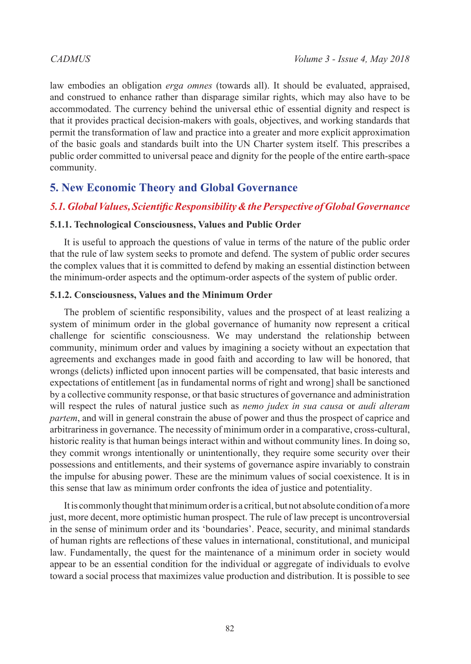law embodies an obligation *erga omnes* (towards all). It should be evaluated, appraised, and construed to enhance rather than disparage similar rights, which may also have to be accommodated. The currency behind the universal ethic of essential dignity and respect is that it provides practical decision-makers with goals, objectives, and working standards that permit the transformation of law and practice into a greater and more explicit approximation of the basic goals and standards built into the UN Charter system itself. This prescribes a public order committed to universal peace and dignity for the people of the entire earth-space community.

# **5. New Economic Theory and Global Governance**

### *5.1. Global Values, Scientific Responsibility & the Perspective of Global Governance*

#### **5.1.1. Technological Consciousness, Values and Public Order**

It is useful to approach the questions of value in terms of the nature of the public order that the rule of law system seeks to promote and defend. The system of public order secures the complex values that it is committed to defend by making an essential distinction between the minimum-order aspects and the optimum-order aspects of the system of public order.

#### **5.1.2. Consciousness, Values and the Minimum Order**

The problem of scientific responsibility, values and the prospect of at least realizing a system of minimum order in the global governance of humanity now represent a critical challenge for scientific consciousness. We may understand the relationship between community, minimum order and values by imagining a society without an expectation that agreements and exchanges made in good faith and according to law will be honored, that wrongs (delicts) inflicted upon innocent parties will be compensated, that basic interests and expectations of entitlement [as in fundamental norms of right and wrong] shall be sanctioned by a collective community response, or that basic structures of governance and administration will respect the rules of natural justice such as *nemo judex in sua causa* or *audi alteram partem*, and will in general constrain the abuse of power and thus the prospect of caprice and arbitrariness in governance. The necessity of minimum order in a comparative, cross-cultural, historic reality is that human beings interact within and without community lines. In doing so, they commit wrongs intentionally or unintentionally, they require some security over their possessions and entitlements, and their systems of governance aspire invariably to constrain the impulse for abusing power. These are the minimum values of social coexistence. It is in this sense that law as minimum order confronts the idea of justice and potentiality.

It is commonly thought that minimum order is a critical, but not absolute condition of a more just, more decent, more optimistic human prospect. The rule of law precept is uncontroversial in the sense of minimum order and its 'boundaries'. Peace, security, and minimal standards of human rights are reflections of these values in international, constitutional, and municipal law. Fundamentally, the quest for the maintenance of a minimum order in society would appear to be an essential condition for the individual or aggregate of individuals to evolve toward a social process that maximizes value production and distribution. It is possible to see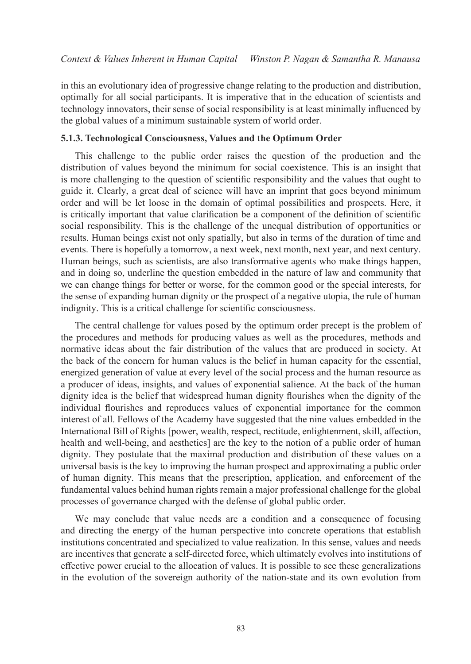in this an evolutionary idea of progressive change relating to the production and distribution, optimally for all social participants. It is imperative that in the education of scientists and technology innovators, their sense of social responsibility is at least minimally influenced by the global values of a minimum sustainable system of world order.

#### **5.1.3. Technological Consciousness, Values and the Optimum Order**

This challenge to the public order raises the question of the production and the distribution of values beyond the minimum for social coexistence. This is an insight that is more challenging to the question of scientific responsibility and the values that ought to guide it. Clearly, a great deal of science will have an imprint that goes beyond minimum order and will be let loose in the domain of optimal possibilities and prospects. Here, it is critically important that value clarification be a component of the definition of scientific social responsibility. This is the challenge of the unequal distribution of opportunities or results. Human beings exist not only spatially, but also in terms of the duration of time and events. There is hopefully a tomorrow, a next week, next month, next year, and next century. Human beings, such as scientists, are also transformative agents who make things happen, and in doing so, underline the question embedded in the nature of law and community that we can change things for better or worse, for the common good or the special interests, for the sense of expanding human dignity or the prospect of a negative utopia, the rule of human indignity. This is a critical challenge for scientific consciousness.

The central challenge for values posed by the optimum order precept is the problem of the procedures and methods for producing values as well as the procedures, methods and normative ideas about the fair distribution of the values that are produced in society. At the back of the concern for human values is the belief in human capacity for the essential, energized generation of value at every level of the social process and the human resource as a producer of ideas, insights, and values of exponential salience. At the back of the human dignity idea is the belief that widespread human dignity flourishes when the dignity of the individual flourishes and reproduces values of exponential importance for the common interest of all. Fellows of the Academy have suggested that the nine values embedded in the International Bill of Rights [power, wealth, respect, rectitude, enlightenment, skill, affection, health and well-being, and aesthetics] are the key to the notion of a public order of human dignity. They postulate that the maximal production and distribution of these values on a universal basis is the key to improving the human prospect and approximating a public order of human dignity. This means that the prescription, application, and enforcement of the fundamental values behind human rights remain a major professional challenge for the global processes of governance charged with the defense of global public order.

We may conclude that value needs are a condition and a consequence of focusing and directing the energy of the human perspective into concrete operations that establish institutions concentrated and specialized to value realization. In this sense, values and needs are incentives that generate a self-directed force, which ultimately evolves into institutions of effective power crucial to the allocation of values. It is possible to see these generalizations in the evolution of the sovereign authority of the nation-state and its own evolution from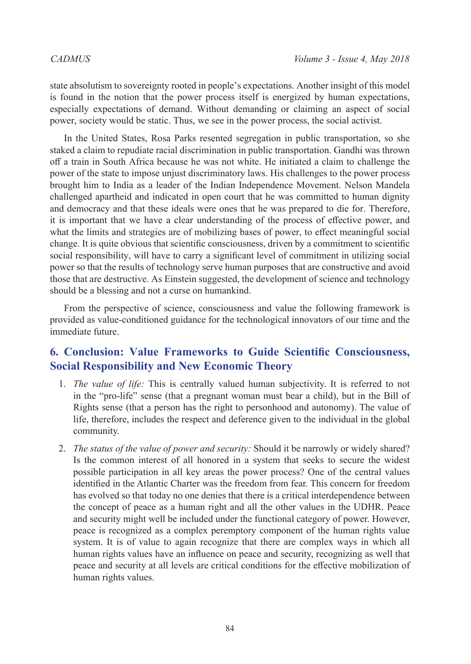state absolutism to sovereignty rooted in people's expectations. Another insight of this model is found in the notion that the power process itself is energized by human expectations, especially expectations of demand. Without demanding or claiming an aspect of social power, society would be static. Thus, we see in the power process, the social activist.

In the United States, Rosa Parks resented segregation in public transportation, so she staked a claim to repudiate racial discrimination in public transportation. Gandhi was thrown off a train in South Africa because he was not white. He initiated a claim to challenge the power of the state to impose unjust discriminatory laws. His challenges to the power process brought him to India as a leader of the Indian Independence Movement. Nelson Mandela challenged apartheid and indicated in open court that he was committed to human dignity and democracy and that these ideals were ones that he was prepared to die for. Therefore, it is important that we have a clear understanding of the process of effective power, and what the limits and strategies are of mobilizing bases of power, to effect meaningful social change. It is quite obvious that scientific consciousness, driven by a commitment to scientific social responsibility, will have to carry a significant level of commitment in utilizing social power so that the results of technology serve human purposes that are constructive and avoid those that are destructive. As Einstein suggested, the development of science and technology should be a blessing and not a curse on humankind.

From the perspective of science, consciousness and value the following framework is provided as value-conditioned guidance for the technological innovators of our time and the immediate future.

# **6. Conclusion: Value Frameworks to Guide Scientific Consciousness, Social Responsibility and New Economic Theory**

- 1. *The value of life:* This is centrally valued human subjectivity. It is referred to not in the "pro-life" sense (that a pregnant woman must bear a child), but in the Bill of Rights sense (that a person has the right to personhood and autonomy). The value of life, therefore, includes the respect and deference given to the individual in the global community.
- 2. *The status of the value of power and security:* Should it be narrowly or widely shared? Is the common interest of all honored in a system that seeks to secure the widest possible participation in all key areas the power process? One of the central values identified in the Atlantic Charter was the freedom from fear. This concern for freedom has evolved so that today no one denies that there is a critical interdependence between the concept of peace as a human right and all the other values in the UDHR. Peace and security might well be included under the functional category of power. However, peace is recognized as a complex peremptory component of the human rights value system. It is of value to again recognize that there are complex ways in which all human rights values have an influence on peace and security, recognizing as well that peace and security at all levels are critical conditions for the effective mobilization of human rights values.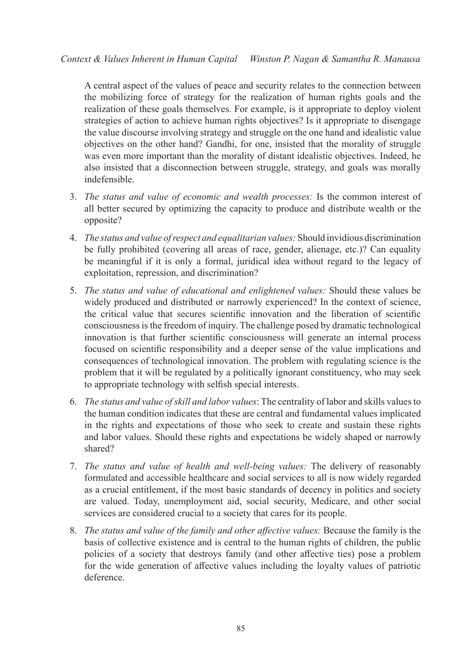A central aspect of the values of peace and security relates to the connection between the mobilizing force of strategy for the realization of human rights goals and the realization of these goals themselves. For example, is it appropriate to deploy violent strategies of action to achieve human rights objectives? Is it appropriate to disengage the value discourse involving strategy and struggle on the one hand and idealistic value objectives on the other hand? Gandhi, for one, insisted that the morality of struggle was even more important than the morality of distant idealistic objectives. Indeed, he also insisted that a disconnection between struggle, strategy, and goals was morally indefensible.

- 3. *The status and value of economic and wealth processes:* Is the common interest of all better secured by optimizing the capacity to produce and distribute wealth or the opposite?
- 4. *The status and value of respect and equalitarian values:* Should invidious discrimination be fully prohibited (covering all areas of race, gender, alienage, etc.)? Can equality be meaningful if it is only a formal, juridical idea without regard to the legacy of exploitation, repression, and discrimination?
- 5. *The status and value of educational and enlightened values:* Should these values be widely produced and distributed or narrowly experienced? In the context of science, the critical value that secures scientific innovation and the liberation of scientific consciousness is the freedom of inquiry. The challenge posed by dramatic technological innovation is that further scientific consciousness will generate an internal process focused on scientific responsibility and a deeper sense of the value implications and consequences of technological innovation. The problem with regulating science is the problem that it will be regulated by a politically ignorant constituency, who may seek to appropriate technology with selfish special interests.
- 6. *The status and value of skill and labor values*: The centrality of labor and skills values to the human condition indicates that these are central and fundamental values implicated in the rights and expectations of those who seek to create and sustain these rights and labor values. Should these rights and expectations be widely shaped or narrowly shared?
- 7. *The status and value of health and well-being values:* The delivery of reasonably formulated and accessible healthcare and social services to all is now widely regarded as a crucial entitlement, if the most basic standards of decency in politics and society are valued. Today, unemployment aid, social security, Medicare, and other social services are considered crucial to a society that cares for its people.
- 8. *The status and value of the family and other affective values:* Because the family is the basis of collective existence and is central to the human rights of children, the public policies of a society that destroys family (and other affective ties) pose a problem for the wide generation of affective values including the loyalty values of patriotic deference.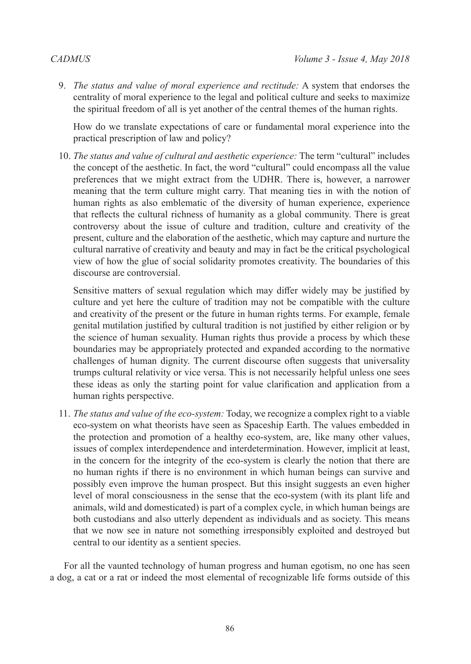9. *The status and value of moral experience and rectitude:* A system that endorses the centrality of moral experience to the legal and political culture and seeks to maximize the spiritual freedom of all is yet another of the central themes of the human rights.

How do we translate expectations of care or fundamental moral experience into the practical prescription of law and policy?

10. *The status and value of cultural and aesthetic experience:* The term "cultural" includes the concept of the aesthetic. In fact, the word "cultural" could encompass all the value preferences that we might extract from the UDHR. There is, however, a narrower meaning that the term culture might carry. That meaning ties in with the notion of human rights as also emblematic of the diversity of human experience, experience that reflects the cultural richness of humanity as a global community. There is great controversy about the issue of culture and tradition, culture and creativity of the present, culture and the elaboration of the aesthetic, which may capture and nurture the cultural narrative of creativity and beauty and may in fact be the critical psychological view of how the glue of social solidarity promotes creativity. The boundaries of this discourse are controversial.

Sensitive matters of sexual regulation which may differ widely may be justified by culture and yet here the culture of tradition may not be compatible with the culture and creativity of the present or the future in human rights terms. For example, female genital mutilation justified by cultural tradition is not justified by either religion or by the science of human sexuality. Human rights thus provide a process by which these boundaries may be appropriately protected and expanded according to the normative challenges of human dignity. The current discourse often suggests that universality trumps cultural relativity or vice versa. This is not necessarily helpful unless one sees these ideas as only the starting point for value clarification and application from a human rights perspective.

11. *The status and value of the eco-system:* Today, we recognize a complex right to a viable eco-system on what theorists have seen as Spaceship Earth. The values embedded in the protection and promotion of a healthy eco-system, are, like many other values, issues of complex interdependence and interdetermination. However, implicit at least, in the concern for the integrity of the eco-system is clearly the notion that there are no human rights if there is no environment in which human beings can survive and possibly even improve the human prospect. But this insight suggests an even higher level of moral consciousness in the sense that the eco-system (with its plant life and animals, wild and domesticated) is part of a complex cycle, in which human beings are both custodians and also utterly dependent as individuals and as society. This means that we now see in nature not something irresponsibly exploited and destroyed but central to our identity as a sentient species.

For all the vaunted technology of human progress and human egotism, no one has seen a dog, a cat or a rat or indeed the most elemental of recognizable life forms outside of this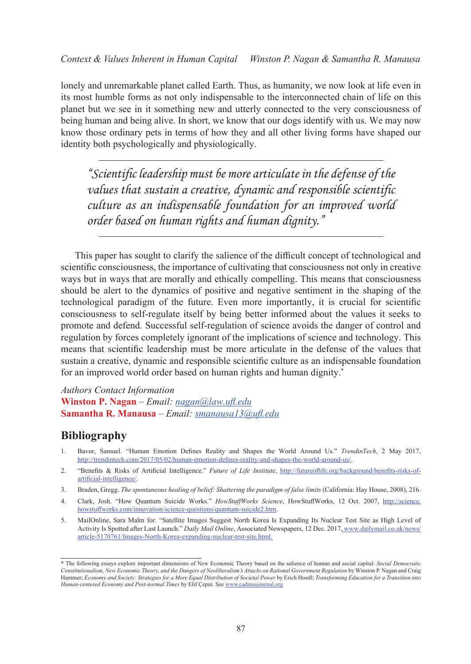lonely and unremarkable planet called Earth. Thus, as humanity, we now look at life even in its most humble forms as not only indispensable to the interconnected chain of life on this planet but we see in it something new and utterly connected to the very consciousness of being human and being alive. In short, we know that our dogs identify with us. We may now know those ordinary pets in terms of how they and all other living forms have shaped our identity both psychologically and physiologically.

*"Scientific leadership must be more articulate in the defense of the values that sustain a creative, dynamic and responsible scientific culture as an indispensable foundation for an improved world order based on human rights and human dignity."*

This paper has sought to clarify the salience of the difficult concept of technological and scientific consciousness, the importance of cultivating that consciousness not only in creative ways but in ways that are morally and ethically compelling. This means that consciousness should be alert to the dynamics of positive and negative sentiment in the shaping of the technological paradigm of the future. Even more importantly, it is crucial for scientific consciousness to self-regulate itself by being better informed about the values it seeks to promote and defend. Successful self-regulation of science avoids the danger of control and regulation by forces completely ignorant of the implications of science and technology. This means that scientific leadership must be more articulate in the defense of the values that sustain a creative, dynamic and responsible scientific culture as an indispensable foundation for an improved world order based on human rights and human dignity.\*

### *Authors Contact Information* **Winston P. Nagan** *– Email: [nagan@law.ufl.edu](mailto:nagan%40law.ufl.edu?subject=)* **Samantha R. Manausa** *– Email: [smanausa13@ufl.edu](mailto:smanausa13%40ufl.edu?subject=)*

# **Bibliography**

- 1. Bavor, Samuel. "Human Emotion Defines Reality and Shapes the World Around Us." *TrendinTech*, 2 May 2017, http:/[/trendintech.com/2017/05/02/human-emotion-defines-reality-and-shapes-the-world-around-us/](http://trendintech.com/2017/05/02/human-emotion-defines-reality-and-shapes-the-world-around-us/).
- 2. "Benefits & Risks of Artificial Intelligence." *Future of Life Institute*, http://[futureoflife.org/background/benefits-risks-of](https://futureoflife.org/background/benefits-risks-of-artificial-intelligence/)[artificial-intelligence/](https://futureoflife.org/background/benefits-risks-of-artificial-intelligence/).
- 3. Braden, Gregg. *The spontaneous healing of belief: Shattering the paradigm of false limits* (California: Hay House, 2008), 216.
- 4. Clark, Josh. "How Quantum Suicide Works." *HowStuffWorks Science*, HowStuffWorks, 12 Oct. 2007, [http://science.](https://science.howstuffworks.com/innovation/science-questions/quantum-suicide2.htm) [howstuffworks.com/innovation/science-questions/quantum-suicide2.htm](https://science.howstuffworks.com/innovation/science-questions/quantum-suicide2.htm).
- 5. MailOnline, Sara Malm for. "Satellite Images Suggest North Korea Is Expanding Its Nuclear Test Site as High Level of Activity Is Spotted after Last Launch." *Daily Mail Online*, Associated Newspapers, 12 Dec. 2017, [www.dailymail.co.uk/news/](http://www.dailymail.co.uk/news/article-5170761/Images-North-Korea-expanding-nuclear-test-site.html) [article-5170761/Images-North-Korea-expanding-nuclear-test-site.html](http://www.dailymail.co.uk/news/article-5170761/Images-North-Korea-expanding-nuclear-test-site.html).

<sup>\*</sup> The following essays explore important dimensions of New Economic Theory based on the salience of human and social capital: *Social Democratic Constitutionalism, New Economic Theory, and the Dangers of Neoliberalism's Attacks on Rational Government Regulation* by Winston P. Nagan and Craig Hammer; *Economy and Society: Strategies for a More Equal Distribution of Societal Power* by Erich Hoedl; *Transforming Education for a Transition into Human-centered Economy and Post-normal Times* by Elif Çepni. See [www.cadmusjournal.org](http://www.cadmusjournal.org)